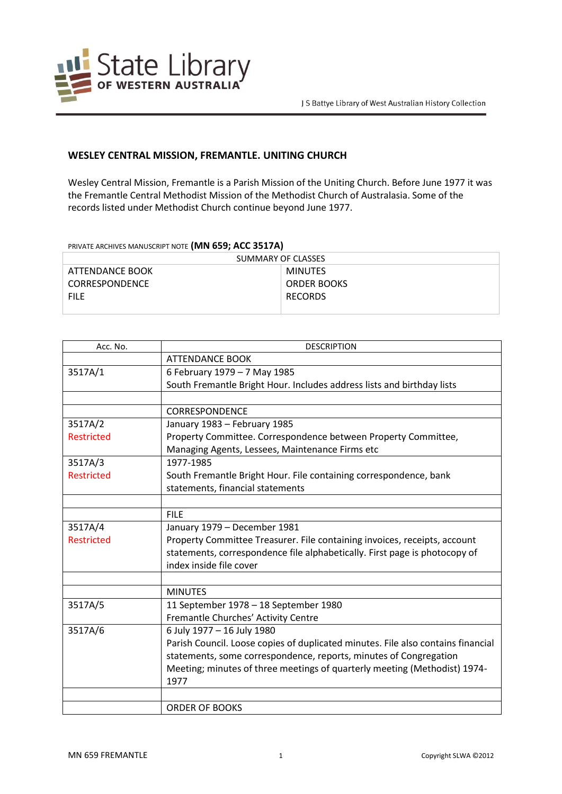

## **WESLEY CENTRAL MISSION, FREMANTLE. UNITING CHURCH**

Wesley Central Mission, Fremantle is a Parish Mission of the Uniting Church. Before June 1977 it was the Fremantle Central Methodist Mission of the Methodist Church of Australasia. Some of the records listed under Methodist Church continue beyond June 1977.

## PRIVATE ARCHIVES MANUSCRIPT NOTE **(MN 659; ACC 3517A)**

| SUMMARY OF CLASSES    |                    |
|-----------------------|--------------------|
| ATTENDANCE BOOK       | MINUTES            |
| <b>CORRESPONDENCE</b> | <b>ORDER BOOKS</b> |
| <b>FILE</b>           | <b>RECORDS</b>     |
|                       |                    |

| Acc. No.          | <b>DESCRIPTION</b>                                                               |
|-------------------|----------------------------------------------------------------------------------|
|                   | <b>ATTENDANCE BOOK</b>                                                           |
| 3517A/1           | 6 February 1979 - 7 May 1985                                                     |
|                   | South Fremantle Bright Hour. Includes address lists and birthday lists           |
|                   |                                                                                  |
|                   | <b>CORRESPONDENCE</b>                                                            |
| 3517A/2           | January 1983 - February 1985                                                     |
| <b>Restricted</b> | Property Committee. Correspondence between Property Committee,                   |
|                   | Managing Agents, Lessees, Maintenance Firms etc                                  |
| 3517A/3           | 1977-1985                                                                        |
| <b>Restricted</b> | South Fremantle Bright Hour. File containing correspondence, bank                |
|                   | statements, financial statements                                                 |
|                   |                                                                                  |
|                   | <b>FILE</b>                                                                      |
| 3517A/4           | January 1979 - December 1981                                                     |
| <b>Restricted</b> | Property Committee Treasurer. File containing invoices, receipts, account        |
|                   | statements, correspondence file alphabetically. First page is photocopy of       |
|                   | index inside file cover                                                          |
|                   |                                                                                  |
|                   | <b>MINUTES</b>                                                                   |
| 3517A/5           | 11 September 1978 - 18 September 1980                                            |
|                   | Fremantle Churches' Activity Centre                                              |
| 3517A/6           | 6 July 1977 - 16 July 1980                                                       |
|                   | Parish Council. Loose copies of duplicated minutes. File also contains financial |
|                   | statements, some correspondence, reports, minutes of Congregation                |
|                   | Meeting; minutes of three meetings of quarterly meeting (Methodist) 1974-        |
|                   | 1977                                                                             |
|                   |                                                                                  |
|                   | <b>ORDER OF BOOKS</b>                                                            |